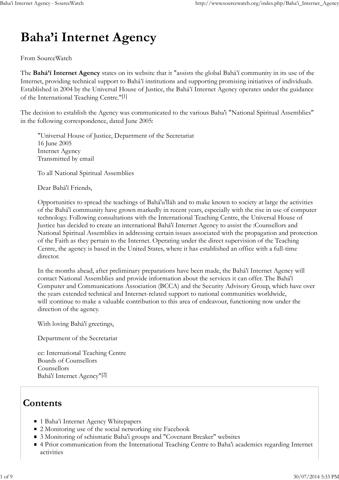# **Baha'i Internet Agency**

#### From SourceWatch

The **Bahá'í Internet Agency** states on its website that it "assists the global Bahá'í community in its use of the Internet, providing technical support to Bahá'í institutions and supporting promising initiatives of individuals. Established in 2004 by the Universal House of Justice, the Bahá'í Internet Agency operates under the guidance of the International Teaching Centre."[1]

The decision to establish the Agency was communicated to the various Baha'i "National Spiritual Assemblies" in the following correspondence, dated June 2005:

"Universal House of Justice, Department of the Secretariat 16 June 2005 Internet Agency Transmitted by email

To all National Spiritual Assemblies

Dear Bahá'í Friends,

Opportunities to spread the teachings of Bahá'u'lláh and to make known to society at large the activities of the Bahá'í community have grown markedly in recent years, especially with the rise in use of computer technology. Following consultations with the International Teaching Centre, the Universal House of Justice has decided to create an international Bahá'í Internet Agency to assist the :Counsellors and National Spiritual Assemblies in addressing certain issues associated with the propagation and protection of the Faith as they pertain to the Internet. Operating under the direct supervision of the Teaching Centre, the agency is based in the United States, where it has established an office with a full-time director.

In the months ahead, after preliminary preparations have been made, the Bahá'í Internet Agency will contact National Assemblies and provide information about the services it can offer. The Bahá'í Computer and Communications Association (BCCA) and the Security Advisory Group, which have over the years extended technical and Internet-related support to national communities worldwide, will :continue to make a valuable contribution to this area of endeavour, functioning now under the direction of the agency.

With loving Bahá'í greetings,

Department of the Secretariat

cc: International Teaching Centre Boards of Counsellors Counsellors Bahá'í Internet Agency"[2]

### **Contents**

- 1 Baha'i Internet Agency Whitepapers
- 2 Monitoring use of the social networking site Facebook
- 3 Monitoring of schismatic Baha'i groups and "Covenant Breaker" websites
- 4 Prior communication from the International Teaching Centre to Baha'i academics regarding Internet activities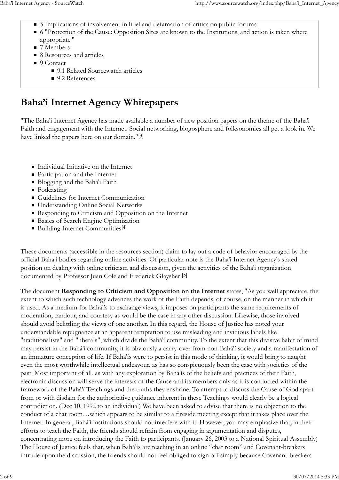- 5 Implications of involvement in libel and defamation of critics on public forums
- 6 "Protection of the Cause: Opposition Sites are known to the Institutions, and action is taken where appropriate."
- 7 Members
- 8 Resources and articles
- 9 Contact
	- 9.1 Related Sourcewatch articles
	- 9.2 References

## **Baha'i Internet Agency Whitepapers**

"The Baha'i Internet Agency has made available a number of new position papers on the theme of the Baha'i Faith and engagement with the Internet. Social networking, blogosphere and folksonomies all get a look in. We have linked the papers here on our domain."[3]

- Individual Initiative on the Internet
- Participation and the Internet
- Blogging and the Baha'i Faith
- Podcasting
- Guidelines for Internet Communication
- Understanding Online Social Networks
- Responding to Criticism and Opposition on the Internet
- **Basics of Search Engine Optimization**
- Building Internet Communities<sup>[4]</sup>

These documents (accessible in the resources section) claim to lay out a code of behavior encouraged by the official Baha'i bodies regarding online activities. Of particular note is the Baha'i Internet Agency's stated position on dealing with online criticism and discussion, given the activities of the Baha'i organization documented by Professor Juan Cole and Frederick Glaysher [5]

The document **Responding to Criticism and Opposition on the Internet** states, "As you well appreciate, the extent to which such technology advances the work of the Faith depends, of course, on the manner in which it is used. As a medium for Bahá'ís to exchange views, it imposes on participants the same requirements of moderation, candour, and courtesy as would be the case in any other discussion. Likewise, those involved should avoid belittling the views of one another. In this regard, the House of Justice has noted your understandable repugnance at an apparent temptation to use misleading and invidious labels like "traditionalists" and "liberals", which divide the Bahá'í community. To the extent that this divisive habit of mind may persist in the Bahá'í community, it is obviously a carry-over from non-Bahá'í society and a manifestation of an immature conception of life. If Bahá'ís were to persist in this mode of thinking, it would bring to naught even the most worthwhile intellectual endeavour, as has so conspicuously been the case with societies of the past. Most important of all, as with any exploration by Bahá'ís of the beliefs and practices of their Faith, electronic discussion will serve the interests of the Cause and its members only as it is conducted within the framework of the Bahá'í Teachings and the truths they enshrine. To attempt to discuss the Cause of God apart from or with disdain for the authoritative guidance inherent in these Teachings would clearly be a logical contradiction. (Dec 10, 1992 to an individual) We have been asked to advise that there is no objection to the conduct of a chat room…which appears to be similar to a fireside meeting except that it takes place over the Internet. In general, Bahá'í institutions should not interfere with it. However, you may emphasize that, in their efforts to teach the Faith, the friends should refrain from engaging in argumentation and disputes, concentrating more on introducing the Faith to participants. (January 26, 2003 to a National Spiritual Assembly) The House of Justice feels that, when Bahá'ís are teaching in an online "chat room" and Covenant-breakers intrude upon the discussion, the friends should not feel obliged to sign off simply because Covenant-breakers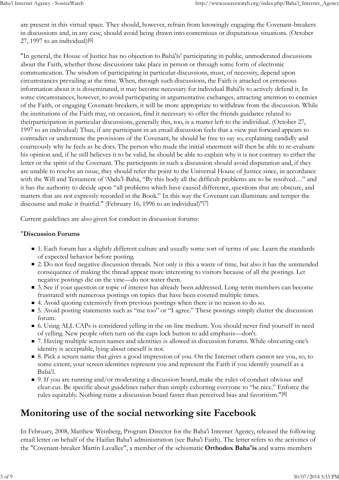are present in this virtual space. They should, however, refrain from knowingly engaging the Covenant-breakers in discussions and, in any case, should avoid being drawn into contentious or disputatious situations. (October 27, 1997 to an individual)[6]

"In general, the House of Justice has no objection to Bahá'ís' participating in public, unmoderated discussions about the Faith, whether those discussions take place in person or through some form of electronic communication. The wisdom of participating in particular discussions, must, of necessity, depend upon circumstances prevailing at the time. When, through such discussions, the Faith is attacked or erroneous information about it is disseminated, it may become necessary for individual Bahá'ís to actively defend it. In some circumstances, however, to avoid participating in argumentative exchanges, attracting attention to enemies of the Faith, or engaging Covenant-breakers, it will be more appropriate to withdraw from the discussion. While the institutions of the Faith may, on occasion, find it necessary to offer the friends guidance related to theirparticipation in particular discussions, generally this, too, is a matter left to the individual. (October 27, 1997 to an individual) Thus, if any participant in an email discussion feels that a view put forward appears to contradict or undermine the provisions of the Covenant, he should be free to say so, explaining candidly and courteously why he feels as he does. The person who made the initial statement will then be able to re-evaluate his opinion and, if he still believes it to be valid, he should be able to explain why it is not contrary to either the letter or the spirit of the Covenant. The participants in such a discussion should avoid disputation and, if they are unable to resolve an issue, they should refer the point to the Universal House of Justice since, in accordance with the Will and Testament of 'Abdu'l-Bahá, "By this body all the difficult problems are to be resolved…" and it has the authority to decide upon "all problems which have caused difference, questions that are obscure, and matters that are not expressly recorded in the Book." In this way the Covenant can illuminate and temper the discourse and make it fruitful." (February 16, 1996 to an individual)"[7]

Current guidelines are also given for conduct in discussion forums:

#### "**Discussion Forums**

- 1. Each forum has a slightly different culture and usually some sort of terms of use. Learn the standards of expected behavior before posting.
- 2. Do not feed negative discussion threads. Not only is this a waste of time, but also it has the unintended consequence of making the thread appear more interesting to visitors because of all the postings. Let negative postings die on the vine—do not water them.
- 3. See if your question or topic of interest has already been addressed. Long-term members can become frustrated with numerous postings on topics that have been covered multiple times.
- 4. Avoid quoting extensively from previous postings when there is no reason to do so.
- 5. Avoid posting statements such as "me too" or "I agree." These postings simply clutter the discussion forum.
- 6. Using ALL CAPs is considered yelling in the on-line medium. You should never find yourself in need of yelling. New people often turn on the caps lock button to add emphasis—don't.
- 7. Having multiple screen names and identities is allowed in discussion forums. While obscuring one's identity is acceptable, lying about oneself is not.
- 8. Pick a screen name that gives a good impression of you. On the Internet others cannot see you, so, to some extent, your screen identities represent you and represent the Faith if you identify yourself as a Bahá'í.
- 9. If you are running and/or moderating a discussion board, make the rules of conduct obvious and clear-cut. Be specific about guidelines rather than simply exhorting everyone to "be nice." Enforce the rules equitably. Nothing ruins a discussion board faster than perceived bias and favoritism."[8]

### **Monitoring use of the social networking site Facebook**

In February, 2008, Matthew Weinberg, Program Director for the Baha'i Internet Agency, released the following email letter on behalf of the Haifan Baha'i administration (see Baha'i Faith). The letter refers to the activities of the "Covenant-breaker Martin Lavallee", a member of the schismatic **Orthodox Baha'is** and warns members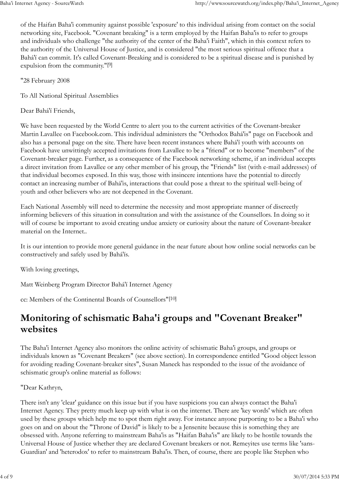of the Haifan Baha'i community against possible 'exposure' to this individual arising from contact on the social networking site, Facebook. "Covenant breaking" is a term employed by the Haifan Baha'is to refer to groups and individuals who challenge "the authority of the center of the Baha'i Faith", which in this context refers to the authority of the Universal House of Justice, and is considered "the most serious spiritual offence that a Bahá'í can commit. It's called Covenant-Breaking and is considered to be a spiritual disease and is punished by expulsion from the community."[9]

"28 February 2008

To All National Spiritual Assemblies

Dear Bahá'í Friends,

We have been requested by the World Centre to alert you to the current activities of the Covenant-breaker Martin Lavallee on Facebook.com. This individual administers the "Orthodox Bahá'is" page on Facebook and also has a personal page on the site. There have been recent instances where Bahá'í youth with accounts on Facebook have unwittingly accepted invitations from Lavallee to be a "friend" or to become "members" of the Covenant-breaker page. Further, as a consequence of the Facebook networking scheme, if an individual accepts a direct invitation from Lavallee or any other member of his group, the "Friends" list (with e-mail addresses) of that individual becomes exposed. In this way, those with insincere intentions have the potential to directly contact an increasing number of Bahá'is, interactions that could pose a threat to the spiritual well-being of youth and other believers who are not deepened in the Covenant.

Each National Assembly will need to determine the necessity and most appropriate manner of discreetly informing believers of this situation in consultation and with the assistance of the Counsellors. In doing so it will of course be important to avoid creating undue anxiety or curiosity about the nature of Covenant-breaker material on the Internet..

It is our intention to provide more general guidance in the near future about how online social networks can be constructively and safely used by Bahá'ís.

With loving greetings,

Matt Weinberg Program Director Bahá'í Internet Agency

cc: Members of the Continental Boards of Counsellors"[10]

### **Monitoring of schismatic Baha'i groups and "Covenant Breaker" websites**

The Baha'i Internet Agency also monitors the online activity of schismatic Baha'i groups, and groups or individuals known as "Covenant Breakers" (see above section). In correspondence entitled "Good object lesson for avoiding reading Covenant-breaker sites", Susan Maneck has responded to the issue of the avoidance of schismatic group's online material as follows:

#### "Dear Kathryn,

There isn't any 'clear' guidance on this issue but if you have suspicions you can always contact the Baha'i Internet Agency. They pretty much keep up with what is on the internet. There are 'key words' which are often used by these groups which help me to spot them right away. For instance anyone purporting to be a Baha'i who goes on and on about the "Throne of David" is likely to be a Jensenite because this is something they are obsessed with. Anyone referring to mainstream Baha'is as "Haifan Baha'is" are likely to be hostile towards the Universal House of Justice whether they are declared Covenant breakers or not. Remeyites use terms like 'sans-Guardian' and 'heterodox' to refer to mainstream Baha'is. Then, of course, there are people like Stephen who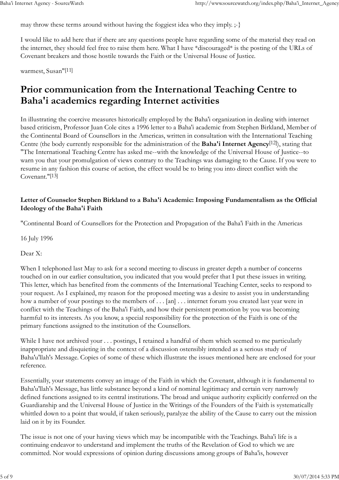may throw these terms around without having the foggiest idea who they imply. ;-}

I would like to add here that if there are any questions people have regarding some of the material they read on the internet, they should feel free to raise them here. What I have \*discouraged\* is the posting of the URLs of Covenant breakers and those hostile towards the Faith or the Universal House of Justice.

warmest, Susan"[11]

### **Prior communication from the International Teaching Centre to Baha'i academics regarding Internet activities**

In illustrating the coercive measures historically employed by the Baha'i organization in dealing with internet based criticism, Professor Juan Cole cites a 1996 letter to a Baha'i academic from Stephen Birkland, Member of the Continental Board of Counsellors in the Americas, written in consultation with the International Teaching Centre (the body currently responsible for the administration of the **Baha'i Internet Agency**[12]), stating that "The International Teaching Centre has asked me--with the knowledge of the Universal House of Justice--to warn you that your promulgation of views contrary to the Teachings was damaging to the Cause. If you were to resume in any fashion this course of action, the effect would be to bring you into direct conflict with the Covenant."[13]

#### **Letter of Counselor Stephen Birkland to a Baha'i Academic: Imposing Fundamentalism as the Official Ideology of the Baha'i Faith**

"Continental Board of Counsellors for the Protection and Propagation of the Baha'i Faith in the Americas

16 July 1996

Dear X:

When I telephoned last May to ask for a second meeting to discuss in greater depth a number of concerns touched on in our earlier consultation, you indicated that you would prefer that I put these issues in writing. This letter, which has benefited from the comments of the International Teaching Center, seeks to respond to your request. As I explained, my reason for the proposed meeting was a desire to assist you in understanding how a number of your postings to the members of . . . [an] . . . internet forum you created last year were in conflict with the Teachings of the Baha'i Faith, and how their persistent promotion by you was becoming harmful to its interests. As you know, a special responsibility for the protection of the Faith is one of the primary functions assigned to the institution of the Counsellors.

While I have not archived your . . . postings, I retained a handful of them which seemed to me particularly inappropriate and disquieting in the context of a discussion ostensibly intended as a serious study of Baha'u'llah's Message. Copies of some of these which illustrate the issues mentioned here are enclosed for your reference.

Essentially, your statements convey an image of the Faith in which the Covenant, although it is fundamental to Baha'u'llah's Message, has little substance beyond a kind of nominal legitimacy and certain very narrowly defined functions assigned to its central institutions. The broad and unique authority explicitly conferred on the Guardianship and the Universal House of Justice in the Writings of the Founders of the Faith is systematically whittled down to a point that would, if taken seriously, paralyze the ability of the Cause to carry out the mission laid on it by its Founder.

The issue is not one of your having views which may be incompatible with the Teachings. Baha'i life is a continuing endeavor to understand and implement the truths of the Revelation of God to which we are committed. Nor would expressions of opinion during discussions among groups of Baha'is, however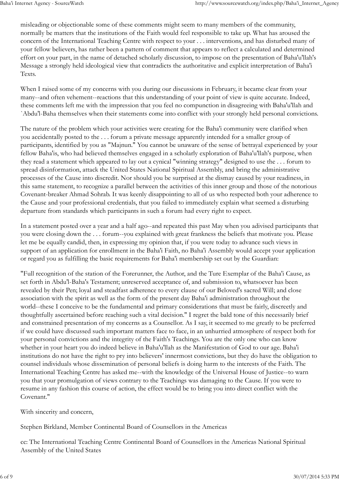misleading or objectionable some of these comments might seem to many members of the community, normally be matters that the institutions of the Faith would feel responsible to take up. What has aroused the concern of the International Teaching Centre with respect to your . . . interventions, and has disturbed many of your fellow believers, has rather been a pattern of comment that appears to reflect a calculated and determined effort on your part, in the name of detached scholarly discussion, to impose on the presentation of Baha'u'llah's Message a strongly held ideological view that contradicts the authoritative and explicit interpretation of Baha'i Texts.

When I raised some of my concerns with you during our discussions in February, it became clear from your many--and often vehement--reactions that this understanding of your point of view is quite accurate. Indeed, these comments left me with the impression that you feel no compunction in disagreeing with Baha'u'llah and `Abdu'l-Baha themselves when their statements come into conflict with your strongly held personal convictions.

The nature of the problem which your activities were creating for the Baha'i community were clarified when you accidentally posted to the . . . forum a private message apparently intended for a smaller group of participants, identified by you as "Majnun." You cannot be unaware of the sense of betrayal experienced by your fellow Baha'is, who had believed themselves engaged in a scholarly exploration of Baha'u'llah's purpose, when they read a statement which appeared to lay out a cynical "winning strategy" designed to use the . . . forum to spread disinformation, attack the United States National Spiritual Assembly, and bring the administrative processes of the Cause into discredit. Nor should you be surprised at the dismay caused by your readiness, in this same statement, to recognize a parallel between the activities of this inner group and those of the notorious Covenant-breaker Ahmad Sohrab. It was keenly disappointing to all of us who respected both your adherence to the Cause and your professional credentials, that you failed to immediately explain what seemed a disturbing departure from standards which participants in such a forum had every right to expect.

In a statement posted over a year and a half ago--and repeated this past May when you adivised participants that you were closing down the . . . forum--you explained with great frankness the beliefs that motivate you. Please let me be equally candid, then, in expressing my opinion that, if you were today to advance such views in support of an application for enrollment in the Baha'i Faith, no Baha'i Assembly would accept your application or regard you as fulfilling the basic requirements for Baha'i membership set out by the Guardian:

"Full recognition of the station of the Forerunner, the Author, and the Ture Exemplar of the Baha'i Cause, as set forth in Abdu'l-Baha's Testament; unreserved acceptance of, and submission to, whatsoever has been revealed by their Pen; loyal and steadfast adherence to every clause of our Beloved's sacred Will; and close association with the spirit as well as the form of the present day Baha'i administration throughout the world--these I conceive to be the fundamental and primary considerations that must be fairly, discreetly and thoughtfully ascertained before reaching such a vital decision." I regret the bald tone of this necessarily brief and constrained presentation of my concerns as a Counsellor. As I say, it seeemed to me greatly to be preferred if we could have discussed such important matters face to face, in an unhurried atmosphere of respect both for your personal convictions and the integrity of the Faith's Teachings. You are the only one who can know whether in your heart you do indeed believe in Baha'u'llah as the Manifestation of God to our age. Baha'i institutions do not have the right to pry into believers' innermost convictions, but they do have the obligation to counsel individuals whose dissemination of personal beliefs is doing harm to the interests of the Faith. The International Teaching Centre has asked me--with the knowledge of the Universal House of Justice--to warn you that your promulgation of views contrary to the Teachings was damaging to the Cause. If you were to resume in any fashion this course of action, the effect would be to bring you into direct conflict with the Covenant."

With sincerity and concern,

Stephen Birkland, Member Continental Board of Counsellors in the Americas

cc: The International Teaching Centre Continental Board of Counsellors in the Americas National Spiritual Assembly of the United States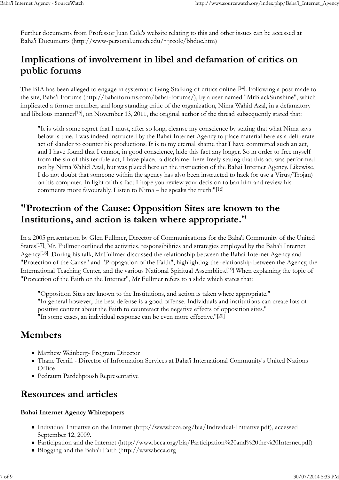Further documents from Professor Juan Cole's website relating to this and other issues can be accessed at Baha'i Documents (http://www-personal.umich.edu/~jrcole/bhdoc.htm)

# **Implications of involvement in libel and defamation of critics on public forums**

The BIA has been alleged to engage in systematic Gang Stalking of critics online [14]. Following a post made to the site, Baha'i Forums (http://bahaiforums.com/bahai-forums/), by a user named "MrBlackSunshine", which implicated a former member, and long standing critic of the organization, Nima Wahid Azal, in a defamatory and libelous manner[15], on November 13, 2011, the original author of the thread subsequently stated that:

"It is with some regret that I must, after so long, cleanse my conscience by stating that what Nima says below is true. I was indeed instructed by the Bahai Internet Agency to place material here as a deliberate act of slander to counter his productions. It is to my eternal shame that I have committed such an act, and I have found that I cannot, in good conscience, hide this fact any longer. So in order to free myself from the sin of this terrible act, I have placed a disclaimer here freely stating that this act was performed not by Nima Wahid Azal, but was placed here on the instruction of the Bahai Internet Agency. Likewise, I do not doubt that someone within the agency has also been instructed to hack (or use a Virus/Trojan) on his computer. In light of this fact I hope you review your decision to ban him and review his comments more favourably. Listen to Nima – he speaks the truth!"[16]

## **"Protection of the Cause: Opposition Sites are known to the Institutions, and action is taken where appropriate."**

In a 2005 presentation by Glen Fullmer, Director of Communications for the Baha'i Community of the United States[17], Mr. Fullmer outlined the activities, responsibilities and strategies employed by the Baha'i Internet Agency[18]. During his talk, Mr.Fullmer discussed the relationship between the Bahai Internet Agency and "Protection of the Cause" and "Propagation of the Faith", highlighting the relationship between the Agency, the International Teaching Center, and the various National Spiritual Assemblies.[19] When explaining the topic of "Protection of the Faith on the Internet", Mr Fullmer refers to a slide which states that:

"Opposition Sites are known to the Institutions, and action is taken where appropriate." "In general however, the best defense is a good offense. Individuals and institutions can create lots of positive content about the Faith to counteract the negative effects of opposition sites." "In some cases, an individual response can be even more effective."[20]

### **Members**

- **Matthew Weinberg- Program Director**
- Thane Terrill Director of Information Services at Baha'i International Community's United Nations **Office**
- **Pedraum Pardehpoosh Representative**

### **Resources and articles**

#### **Bahai Internet Agency Whitepapers**

- Individual Initiative on the Internet (http://www.bcca.org/bia/Individual-Initiative.pdf), accessed September 12, 2009.
- Participation and the Internet (http://www.bcca.org/bia/Participation%20and%20the%20Internet.pdf)
- Blogging and the Baha'i Faith (http://www.bcca.org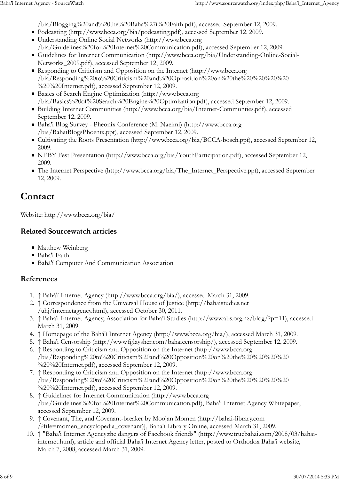/bia/Blogging%20and%20the%20Baha%27i%20Faith.pdf), accessed September 12, 2009.

- Podcasting (http://www.bcca.org/bia/podcasting.pdf), accessed September 12, 2009.
- Understanding Online Social Networks (http://www.bcca.org /bia/Guidelines%20for%20Internet%20Communication.pdf), accessed September 12, 2009.
- Guidelines for Internet Communication (http://www.bcca.org/bia/Understanding-Online-Social-Networks\_2009.pdf), accessed September 12, 2009.
- Responding to Criticism and Opposition on the Internet (http://www.bcca.org /bia/Responding%20to%20Criticism%20and%20Opposition%20on%20the%20%20%20%20 %20%20Internet.pdf), accessed September 12, 2009.
- Basics of Search Engine Optimization (http://www.bcca.org /bia/Basics%20of%20Search%20Engine%20Optimization.pdf), accessed September 12, 2009.
- Building Internet Communities (http://www.bcca.org/bia/Internet-Communties.pdf), accessed September 12, 2009.
- Baha'i Blog Survey Pheonix Conference (M. Naeimi) (http://www.bcca.org /bia/BahaiBlogsPhoenix.ppt), accessed September 12, 2009.
- Cultivating the Roots Presentation (http://www.bcca.org/bia/BCCA-bosch.ppt), accessed September 12, 2009.
- NEBY Fest Presentation (http://www.bcca.org/bia/YouthParticipation.pdf), accessed September 12, 2009.
- The Internet Perspective (http://www.bcca.org/bia/The\_Internet\_Perspective.ppt), accessed September 12, 2009.

### **Contact**

Website: http://www.bcca.org/bia/

### **Related Sourcewatch articles**

- Matthew Weinberg
- Baha'i Faith
- Bahá'í Computer And Communication Association

### **References**

- 1. ↑ Bahá'í Internet Agency (http://www.bcca.org/bia/), accessed March 31, 2009.
- ↑ Correspondence from the Universal House of Justice (http://bahaistudies.net 2. /uhj/internetagency.html), accessed October 30, 2011.
- ↑ Baha'i Internet Agency, Association for Baha'i Studies (http://www.abs.org.nz/blog/?p=11), accessed 3. March 31, 2009.
- 4. ↑ Homepage of the Bahá'í Internet Agency (http://www.bcca.org/bia/), accessed March 31, 2009.
- 5. ↑ Baha'i Censorship (http://www.fglaysher.com/bahaicensorship/), accessed September 12, 2009.
- ↑ Responding to Criticism and Opposition on the Internet (http://www.bcca.org 6. /bia/Responding%20to%20Criticism%20and%20Opposition%20on%20the%20%20%20%20 %20%20Internet.pdf), accessed September 12, 2009.
- ↑ Responding to Criticism and Opposition on the Internet (http://www.bcca.org 7. /bia/Responding%20to%20Criticism%20and%20Opposition%20on%20the%20%20%20%20 %20%20Internet.pdf), accessed September 12, 2009.
- ↑ Guidelines for Internet Communication (http://www.bcca.org 8. /bia/Guidelines%20for%20Internet%20Communication.pdf), Baha'i Internet Agency Whitepaper, accessed September 12, 2009.
- ↑ Covenant, The, and Covenant-breaker by Moojan Momen (http://bahai-library.com 9. /?file=momen\_encyclopedia\_covenant)], Baha'i Library Online, accessed March 31, 2009.
- ↑ "Baha'i Internet Agency:the dangers of Facebook friends" (http://www.truebahai.com/2008/03/bahai-10. internet.html), article and official Baha'i Internet Agency letter, posted to Orthodox Baha'i website, March 7, 2008, accessed March 31, 2009.